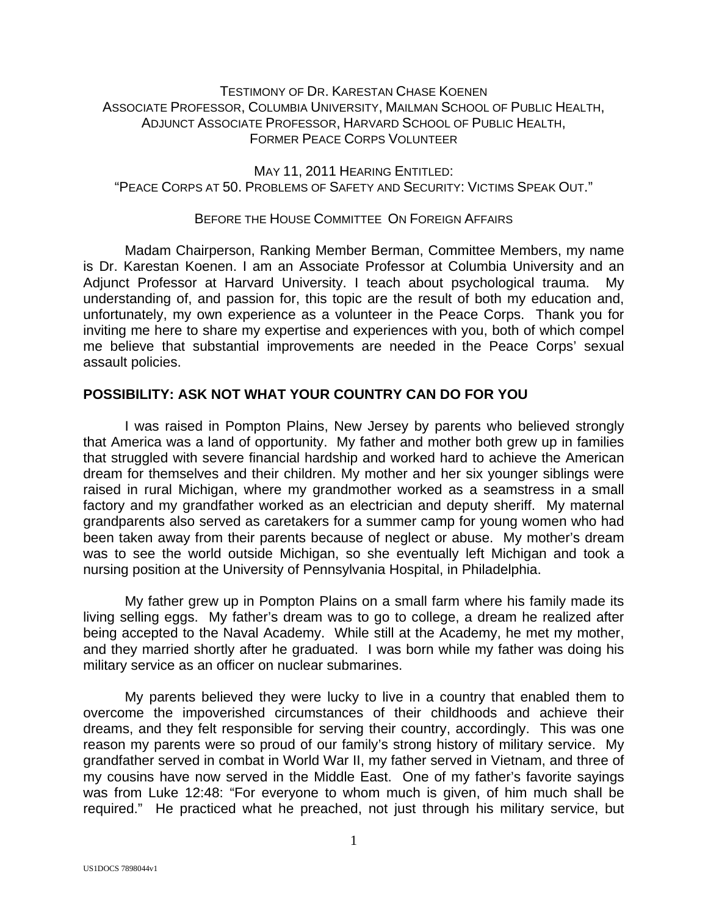# TESTIMONY OF DR. KARESTAN CHASE KOENEN ASSOCIATE PROFESSOR, COLUMBIA UNIVERSITY, MAILMAN SCHOOL OF PUBLIC HEALTH, ADJUNCT ASSOCIATE PROFESSOR, HARVARD SCHOOL OF PUBLIC HEALTH, FORMER PEACE CORPS VOLUNTEER

MAY 11, 2011 HEARING ENTITLED: "PEACE CORPS AT 50. PROBLEMS OF SAFETY AND SECURITY: VICTIMS SPEAK OUT."

# BEFORE THE HOUSE COMMITTEE ON FOREIGN AFFAIRS

 Madam Chairperson, Ranking Member Berman, Committee Members, my name is Dr. Karestan Koenen. I am an Associate Professor at Columbia University and an Adjunct Professor at Harvard University. I teach about psychological trauma. My understanding of, and passion for, this topic are the result of both my education and, unfortunately, my own experience as a volunteer in the Peace Corps. Thank you for inviting me here to share my expertise and experiences with you, both of which compel me believe that substantial improvements are needed in the Peace Corps' sexual assault policies.

### **POSSIBILITY: ASK NOT WHAT YOUR COUNTRY CAN DO FOR YOU**

 I was raised in Pompton Plains, New Jersey by parents who believed strongly that America was a land of opportunity. My father and mother both grew up in families that struggled with severe financial hardship and worked hard to achieve the American dream for themselves and their children. My mother and her six younger siblings were raised in rural Michigan, where my grandmother worked as a seamstress in a small factory and my grandfather worked as an electrician and deputy sheriff. My maternal grandparents also served as caretakers for a summer camp for young women who had been taken away from their parents because of neglect or abuse. My mother's dream was to see the world outside Michigan, so she eventually left Michigan and took a nursing position at the University of Pennsylvania Hospital, in Philadelphia.

 My father grew up in Pompton Plains on a small farm where his family made its living selling eggs. My father's dream was to go to college, a dream he realized after being accepted to the Naval Academy. While still at the Academy, he met my mother, and they married shortly after he graduated. I was born while my father was doing his military service as an officer on nuclear submarines.

 My parents believed they were lucky to live in a country that enabled them to overcome the impoverished circumstances of their childhoods and achieve their dreams, and they felt responsible for serving their country, accordingly. This was one reason my parents were so proud of our family's strong history of military service. My grandfather served in combat in World War II, my father served in Vietnam, and three of my cousins have now served in the Middle East. One of my father's favorite sayings was from Luke 12:48: "For everyone to whom much is given, of him much shall be required." He practiced what he preached, not just through his military service, but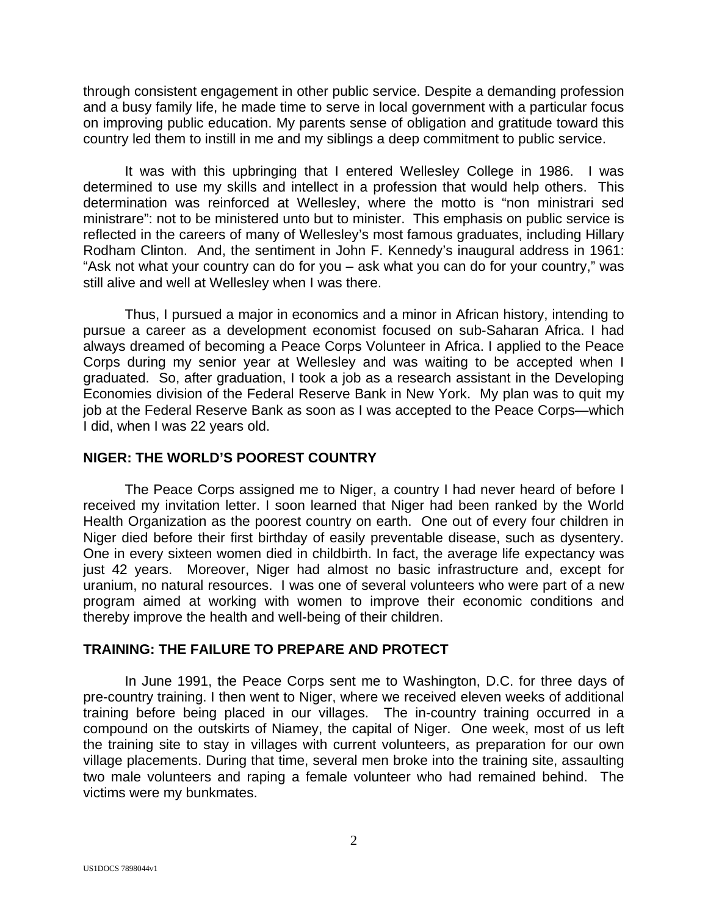through consistent engagement in other public service. Despite a demanding profession and a busy family life, he made time to serve in local government with a particular focus on improving public education. My parents sense of obligation and gratitude toward this country led them to instill in me and my siblings a deep commitment to public service.

 It was with this upbringing that I entered Wellesley College in 1986. I was determined to use my skills and intellect in a profession that would help others. This determination was reinforced at Wellesley, where the motto is "non ministrari sed ministrare": not to be ministered unto but to minister. This emphasis on public service is reflected in the careers of many of Wellesley's most famous graduates, including Hillary Rodham Clinton. And, the sentiment in John F. Kennedy's inaugural address in 1961: "Ask not what your country can do for you – ask what you can do for your country," was still alive and well at Wellesley when I was there.

 Thus, I pursued a major in economics and a minor in African history, intending to pursue a career as a development economist focused on sub-Saharan Africa. I had always dreamed of becoming a Peace Corps Volunteer in Africa. I applied to the Peace Corps during my senior year at Wellesley and was waiting to be accepted when I graduated. So, after graduation, I took a job as a research assistant in the Developing Economies division of the Federal Reserve Bank in New York. My plan was to quit my job at the Federal Reserve Bank as soon as I was accepted to the Peace Corps—which I did, when I was 22 years old.

#### **NIGER: THE WORLD'S POOREST COUNTRY**

 The Peace Corps assigned me to Niger, a country I had never heard of before I received my invitation letter. I soon learned that Niger had been ranked by the World Health Organization as the poorest country on earth. One out of every four children in Niger died before their first birthday of easily preventable disease, such as dysentery. One in every sixteen women died in childbirth. In fact, the average life expectancy was just 42 years. Moreover, Niger had almost no basic infrastructure and, except for uranium, no natural resources. I was one of several volunteers who were part of a new program aimed at working with women to improve their economic conditions and thereby improve the health and well-being of their children.

# **TRAINING: THE FAILURE TO PREPARE AND PROTECT**

 In June 1991, the Peace Corps sent me to Washington, D.C. for three days of pre-country training. I then went to Niger, where we received eleven weeks of additional training before being placed in our villages. The in-country training occurred in a compound on the outskirts of Niamey, the capital of Niger. One week, most of us left the training site to stay in villages with current volunteers, as preparation for our own village placements. During that time, several men broke into the training site, assaulting two male volunteers and raping a female volunteer who had remained behind. The victims were my bunkmates.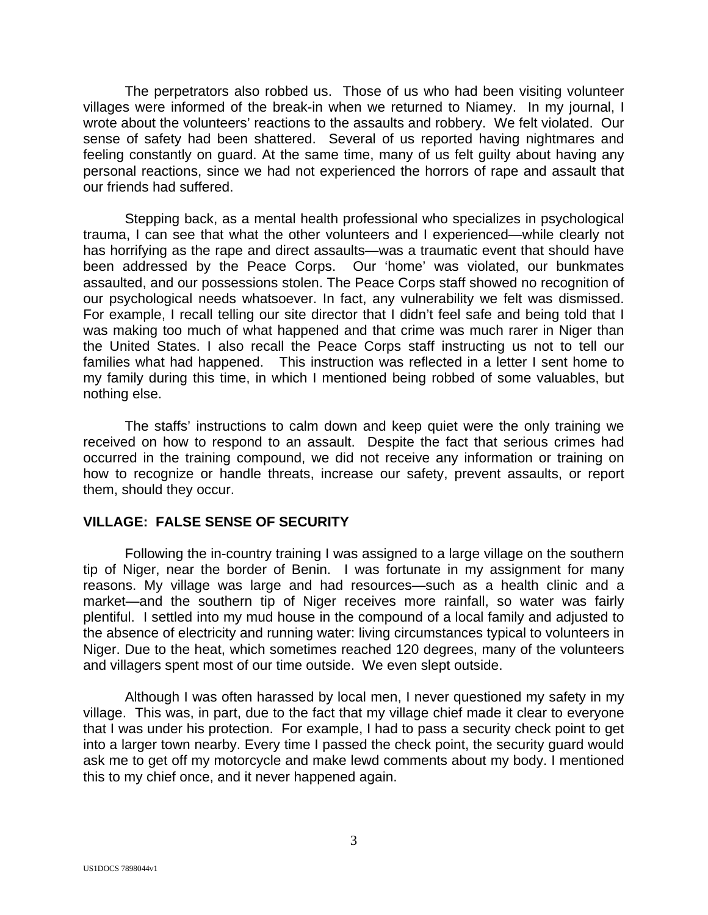The perpetrators also robbed us. Those of us who had been visiting volunteer villages were informed of the break-in when we returned to Niamey. In my journal, I wrote about the volunteers' reactions to the assaults and robbery. We felt violated. Our sense of safety had been shattered. Several of us reported having nightmares and feeling constantly on guard. At the same time, many of us felt guilty about having any personal reactions, since we had not experienced the horrors of rape and assault that our friends had suffered.

 Stepping back, as a mental health professional who specializes in psychological trauma, I can see that what the other volunteers and I experienced—while clearly not has horrifying as the rape and direct assaults—was a traumatic event that should have been addressed by the Peace Corps. Our 'home' was violated, our bunkmates assaulted, and our possessions stolen. The Peace Corps staff showed no recognition of our psychological needs whatsoever. In fact, any vulnerability we felt was dismissed. For example, I recall telling our site director that I didn't feel safe and being told that I was making too much of what happened and that crime was much rarer in Niger than the United States. I also recall the Peace Corps staff instructing us not to tell our families what had happened. This instruction was reflected in a letter I sent home to my family during this time, in which I mentioned being robbed of some valuables, but nothing else.

 The staffs' instructions to calm down and keep quiet were the only training we received on how to respond to an assault. Despite the fact that serious crimes had occurred in the training compound, we did not receive any information or training on how to recognize or handle threats, increase our safety, prevent assaults, or report them, should they occur.

### **VILLAGE: FALSE SENSE OF SECURITY**

 Following the in-country training I was assigned to a large village on the southern tip of Niger, near the border of Benin. I was fortunate in my assignment for many reasons. My village was large and had resources—such as a health clinic and a market—and the southern tip of Niger receives more rainfall, so water was fairly plentiful. I settled into my mud house in the compound of a local family and adjusted to the absence of electricity and running water: living circumstances typical to volunteers in Niger. Due to the heat, which sometimes reached 120 degrees, many of the volunteers and villagers spent most of our time outside. We even slept outside.

 Although I was often harassed by local men, I never questioned my safety in my village. This was, in part, due to the fact that my village chief made it clear to everyone that I was under his protection. For example, I had to pass a security check point to get into a larger town nearby. Every time I passed the check point, the security guard would ask me to get off my motorcycle and make lewd comments about my body. I mentioned this to my chief once, and it never happened again.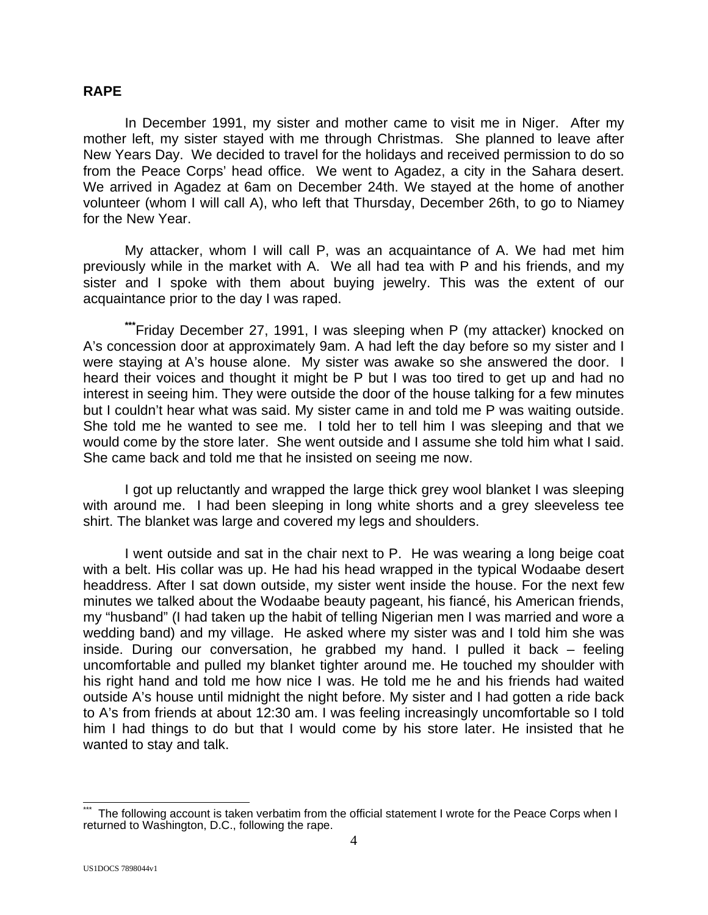#### **RAPE**

 In December 1991, my sister and mother came to visit me in Niger. After my mother left, my sister stayed with me through Christmas. She planned to leave after New Years Day. We decided to travel for the holidays and received permission to do so from the Peace Corps' head office. We went to Agadez, a city in the Sahara desert. We arrived in Agadez at 6am on December 24th. We stayed at the home of another volunteer (whom I will call A), who left that Thursday, December 26th, to go to Niamey for the New Year.

 My attacker, whom I will call P, was an acquaintance of A. We had met him previously while in the market with A. We all had tea with P and his friends, and my sister and I spoke with them about buying jewelry. This was the extent of our acquaintance prior to the day I was raped.

**\*\*\***Friday December 27, 1991, I was sleeping when P (my attacker) knocked on A's concession door at approximately 9am. A had left the day before so my sister and I were staying at A's house alone. My sister was awake so she answered the door. I heard their voices and thought it might be P but I was too tired to get up and had no interest in seeing him. They were outside the door of the house talking for a few minutes but I couldn't hear what was said. My sister came in and told me P was waiting outside. She told me he wanted to see me. I told her to tell him I was sleeping and that we would come by the store later. She went outside and I assume she told him what I said. She came back and told me that he insisted on seeing me now.

 I got up reluctantly and wrapped the large thick grey wool blanket I was sleeping with around me. I had been sleeping in long white shorts and a grey sleeveless tee shirt. The blanket was large and covered my legs and shoulders.

 I went outside and sat in the chair next to P. He was wearing a long beige coat with a belt. His collar was up. He had his head wrapped in the typical Wodaabe desert headdress. After I sat down outside, my sister went inside the house. For the next few minutes we talked about the Wodaabe beauty pageant, his fiancé, his American friends, my "husband" (I had taken up the habit of telling Nigerian men I was married and wore a wedding band) and my village. He asked where my sister was and I told him she was inside. During our conversation, he grabbed my hand. I pulled it back – feeling uncomfortable and pulled my blanket tighter around me. He touched my shoulder with his right hand and told me how nice I was. He told me he and his friends had waited outside A's house until midnight the night before. My sister and I had gotten a ride back to A's from friends at about 12:30 am. I was feeling increasingly uncomfortable so I told him I had things to do but that I would come by his store later. He insisted that he wanted to stay and talk.

<sup>4</sup>  $\overline{1}$ The following account is taken verbatim from the official statement I wrote for the Peace Corps when I returned to Washington, D.C., following the rape.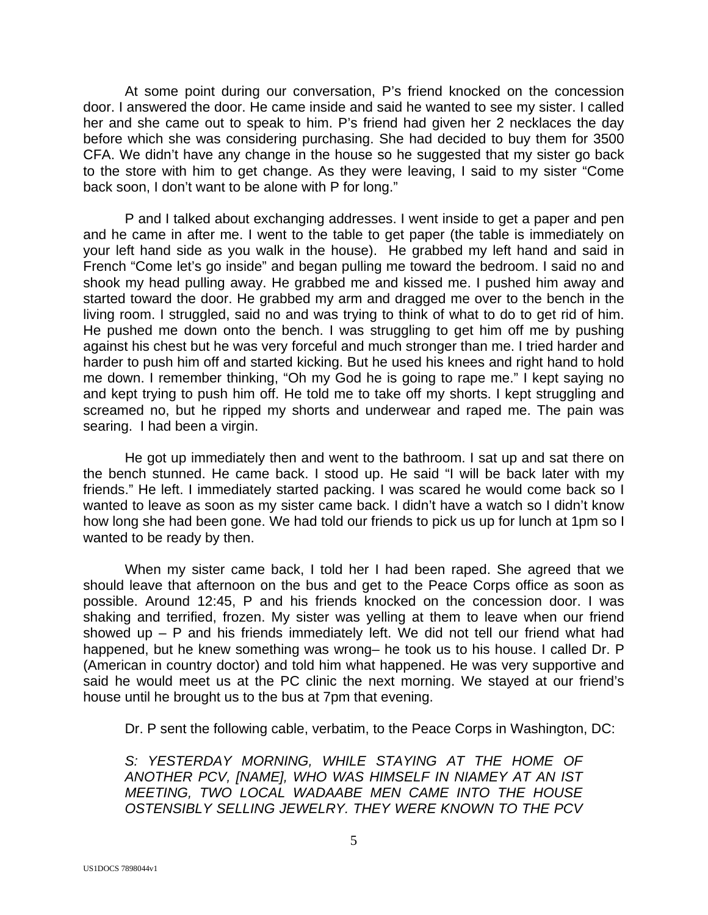At some point during our conversation, P's friend knocked on the concession door. I answered the door. He came inside and said he wanted to see my sister. I called her and she came out to speak to him. P's friend had given her 2 necklaces the day before which she was considering purchasing. She had decided to buy them for 3500 CFA. We didn't have any change in the house so he suggested that my sister go back to the store with him to get change. As they were leaving, I said to my sister "Come back soon, I don't want to be alone with P for long."

 P and I talked about exchanging addresses. I went inside to get a paper and pen and he came in after me. I went to the table to get paper (the table is immediately on your left hand side as you walk in the house). He grabbed my left hand and said in French "Come let's go inside" and began pulling me toward the bedroom. I said no and shook my head pulling away. He grabbed me and kissed me. I pushed him away and started toward the door. He grabbed my arm and dragged me over to the bench in the living room. I struggled, said no and was trying to think of what to do to get rid of him. He pushed me down onto the bench. I was struggling to get him off me by pushing against his chest but he was very forceful and much stronger than me. I tried harder and harder to push him off and started kicking. But he used his knees and right hand to hold me down. I remember thinking, "Oh my God he is going to rape me." I kept saying no and kept trying to push him off. He told me to take off my shorts. I kept struggling and screamed no, but he ripped my shorts and underwear and raped me. The pain was searing. I had been a virgin.

 He got up immediately then and went to the bathroom. I sat up and sat there on the bench stunned. He came back. I stood up. He said "I will be back later with my friends." He left. I immediately started packing. I was scared he would come back so I wanted to leave as soon as my sister came back. I didn't have a watch so I didn't know how long she had been gone. We had told our friends to pick us up for lunch at 1pm so I wanted to be ready by then.

 When my sister came back, I told her I had been raped. She agreed that we should leave that afternoon on the bus and get to the Peace Corps office as soon as possible. Around 12:45, P and his friends knocked on the concession door. I was shaking and terrified, frozen. My sister was yelling at them to leave when our friend showed up – P and his friends immediately left. We did not tell our friend what had happened, but he knew something was wrong– he took us to his house. I called Dr. P (American in country doctor) and told him what happened. He was very supportive and said he would meet us at the PC clinic the next morning. We stayed at our friend's house until he brought us to the bus at 7pm that evening.

Dr. P sent the following cable, verbatim, to the Peace Corps in Washington, DC:

*S: YESTERDAY MORNING, WHILE STAYING AT THE HOME OF ANOTHER PCV, [NAME], WHO WAS HIMSELF IN NIAMEY AT AN IST MEETING, TWO LOCAL WADAABE MEN CAME INTO THE HOUSE OSTENSIBLY SELLING JEWELRY. THEY WERE KNOWN TO THE PCV*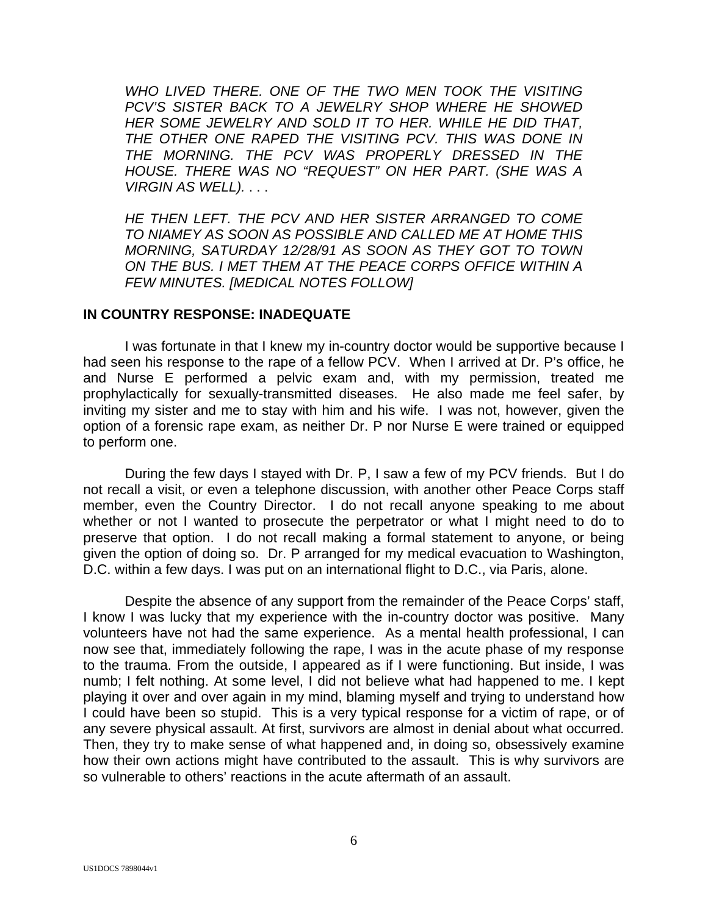*WHO LIVED THERE. ONE OF THE TWO MEN TOOK THE VISITING PCV'S SISTER BACK TO A JEWELRY SHOP WHERE HE SHOWED HER SOME JEWELRY AND SOLD IT TO HER. WHILE HE DID THAT, THE OTHER ONE RAPED THE VISITING PCV. THIS WAS DONE IN THE MORNING. THE PCV WAS PROPERLY DRESSED IN THE HOUSE. THERE WAS NO "REQUEST" ON HER PART. (SHE WAS A VIRGIN AS WELL).* . . .

*HE THEN LEFT. THE PCV AND HER SISTER ARRANGED TO COME TO NIAMEY AS SOON AS POSSIBLE AND CALLED ME AT HOME THIS MORNING, SATURDAY 12/28/91 AS SOON AS THEY GOT TO TOWN ON THE BUS. I MET THEM AT THE PEACE CORPS OFFICE WITHIN A FEW MINUTES. [MEDICAL NOTES FOLLOW]*

#### **IN COUNTRY RESPONSE: INADEQUATE**

 I was fortunate in that I knew my in-country doctor would be supportive because I had seen his response to the rape of a fellow PCV. When I arrived at Dr. P's office, he and Nurse E performed a pelvic exam and, with my permission, treated me prophylactically for sexually-transmitted diseases. He also made me feel safer, by inviting my sister and me to stay with him and his wife. I was not, however, given the option of a forensic rape exam, as neither Dr. P nor Nurse E were trained or equipped to perform one.

 During the few days I stayed with Dr. P, I saw a few of my PCV friends. But I do not recall a visit, or even a telephone discussion, with another other Peace Corps staff member, even the Country Director. I do not recall anyone speaking to me about whether or not I wanted to prosecute the perpetrator or what I might need to do to preserve that option. I do not recall making a formal statement to anyone, or being given the option of doing so. Dr. P arranged for my medical evacuation to Washington, D.C. within a few days. I was put on an international flight to D.C., via Paris, alone.

 Despite the absence of any support from the remainder of the Peace Corps' staff, I know I was lucky that my experience with the in-country doctor was positive. Many volunteers have not had the same experience. As a mental health professional, I can now see that, immediately following the rape, I was in the acute phase of my response to the trauma. From the outside, I appeared as if I were functioning. But inside, I was numb; I felt nothing. At some level, I did not believe what had happened to me. I kept playing it over and over again in my mind, blaming myself and trying to understand how I could have been so stupid. This is a very typical response for a victim of rape, or of any severe physical assault. At first, survivors are almost in denial about what occurred. Then, they try to make sense of what happened and, in doing so, obsessively examine how their own actions might have contributed to the assault. This is why survivors are so vulnerable to others' reactions in the acute aftermath of an assault.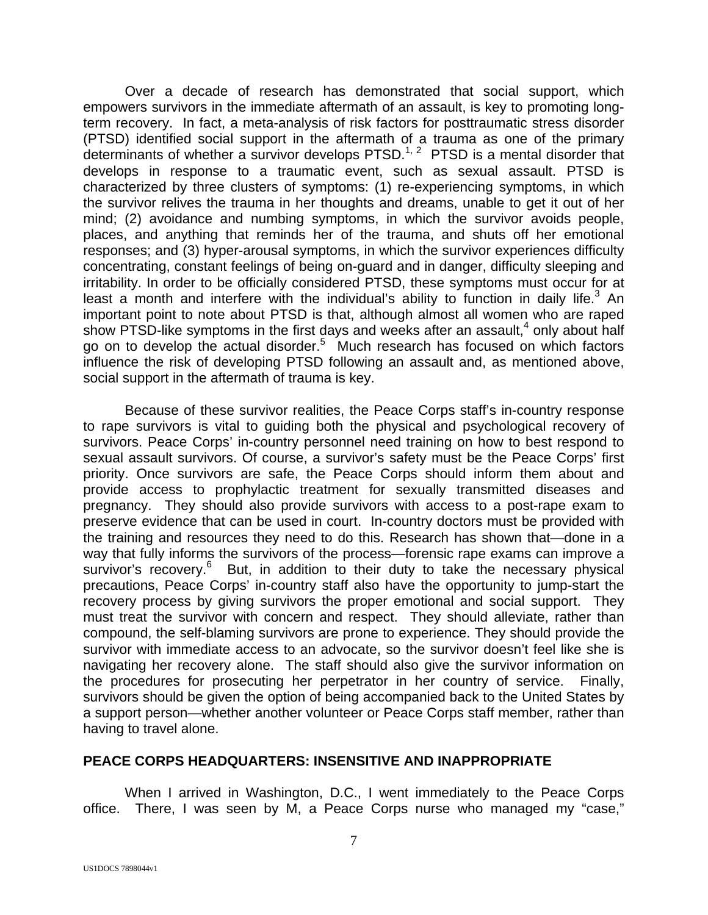Over a decade of research has demonstrated that social support, which empowers survivors in the immediate aftermath of an assault, is key to promoting longterm recovery. In fact, a meta-analysis of risk factors for posttraumatic stress disorder (PTSD) identified social support in the aftermath of a trauma as one of the primary determinants of whether a survivor develops PTSD.<sup>1, 2</sup> PTSD is a mental disorder that develops in response to a traumatic event, such as sexual assault. PTSD is characterized by three clusters of symptoms: (1) re-experiencing symptoms, in which the survivor relives the trauma in her thoughts and dreams, unable to get it out of her mind; (2) avoidance and numbing symptoms, in which the survivor avoids people, places, and anything that reminds her of the trauma, and shuts off her emotional responses; and (3) hyper-arousal symptoms, in which the survivor experiences difficulty concentrating, constant feelings of being on-guard and in danger, difficulty sleeping and irritability. In order to be officially considered PTSD, these symptoms must occur for at least a month and interfere with the individual's ability to function in daily life. $3$  An important point to note about PTSD is that, although almost all women who are raped show PTSD-like symptoms in the first days and weeks after an assault, $4$  only about half go on to develop the actual disorder.<sup>5</sup> Much research has focused on which factors influence the risk of developing PTSD following an assault and, as mentioned above, social support in the aftermath of trauma is key.

 Because of these survivor realities, the Peace Corps staff's in-country response to rape survivors is vital to guiding both the physical and psychological recovery of survivors. Peace Corps' in-country personnel need training on how to best respond to sexual assault survivors. Of course, a survivor's safety must be the Peace Corps' first priority. Once survivors are safe, the Peace Corps should inform them about and provide access to prophylactic treatment for sexually transmitted diseases and pregnancy. They should also provide survivors with access to a post-rape exam to preserve evidence that can be used in court. In-country doctors must be provided with the training and resources they need to do this. Research has shown that—done in a way that fully informs the survivors of the process—forensic rape exams can improve a survivor's recovery.<sup>6</sup> But, in addition to their duty to take the necessary physical precautions, Peace Corps' in-country staff also have the opportunity to jump-start the recovery process by giving survivors the proper emotional and social support. They must treat the survivor with concern and respect. They should alleviate, rather than compound, the self-blaming survivors are prone to experience. They should provide the survivor with immediate access to an advocate, so the survivor doesn't feel like she is navigating her recovery alone. The staff should also give the survivor information on the procedures for prosecuting her perpetrator in her country of service. Finally, survivors should be given the option of being accompanied back to the United States by a support person—whether another volunteer or Peace Corps staff member, rather than having to travel alone.

### **PEACE CORPS HEADQUARTERS: INSENSITIVE AND INAPPROPRIATE**

 When I arrived in Washington, D.C., I went immediately to the Peace Corps office. There, I was seen by M, a Peace Corps nurse who managed my "case,"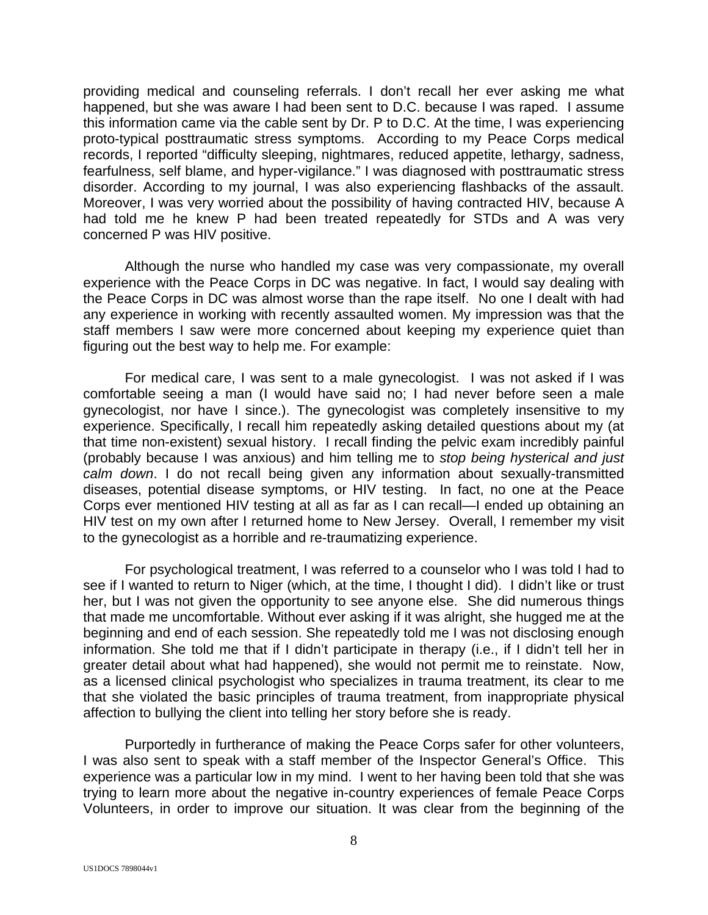providing medical and counseling referrals. I don't recall her ever asking me what happened, but she was aware I had been sent to D.C. because I was raped. I assume this information came via the cable sent by Dr. P to D.C. At the time, I was experiencing proto-typical posttraumatic stress symptoms. According to my Peace Corps medical records, I reported "difficulty sleeping, nightmares, reduced appetite, lethargy, sadness, fearfulness, self blame, and hyper-vigilance." I was diagnosed with posttraumatic stress disorder. According to my journal, I was also experiencing flashbacks of the assault. Moreover, I was very worried about the possibility of having contracted HIV, because A had told me he knew P had been treated repeatedly for STDs and A was very concerned P was HIV positive.

 Although the nurse who handled my case was very compassionate, my overall experience with the Peace Corps in DC was negative. In fact, I would say dealing with the Peace Corps in DC was almost worse than the rape itself. No one I dealt with had any experience in working with recently assaulted women. My impression was that the staff members I saw were more concerned about keeping my experience quiet than figuring out the best way to help me. For example:

 For medical care, I was sent to a male gynecologist. I was not asked if I was comfortable seeing a man (I would have said no; I had never before seen a male gynecologist, nor have I since.). The gynecologist was completely insensitive to my experience. Specifically, I recall him repeatedly asking detailed questions about my (at that time non-existent) sexual history. I recall finding the pelvic exam incredibly painful (probably because I was anxious) and him telling me to *stop being hysterical and just calm down*. I do not recall being given any information about sexually-transmitted diseases, potential disease symptoms, or HIV testing. In fact, no one at the Peace Corps ever mentioned HIV testing at all as far as I can recall—I ended up obtaining an HIV test on my own after I returned home to New Jersey. Overall, I remember my visit to the gynecologist as a horrible and re-traumatizing experience.

 For psychological treatment, I was referred to a counselor who I was told I had to see if I wanted to return to Niger (which, at the time, I thought I did). I didn't like or trust her, but I was not given the opportunity to see anyone else. She did numerous things that made me uncomfortable. Without ever asking if it was alright, she hugged me at the beginning and end of each session. She repeatedly told me I was not disclosing enough information. She told me that if I didn't participate in therapy (i.e., if I didn't tell her in greater detail about what had happened), she would not permit me to reinstate. Now, as a licensed clinical psychologist who specializes in trauma treatment, its clear to me that she violated the basic principles of trauma treatment, from inappropriate physical affection to bullying the client into telling her story before she is ready.

 Purportedly in furtherance of making the Peace Corps safer for other volunteers, I was also sent to speak with a staff member of the Inspector General's Office. This experience was a particular low in my mind. I went to her having been told that she was trying to learn more about the negative in-country experiences of female Peace Corps Volunteers, in order to improve our situation. It was clear from the beginning of the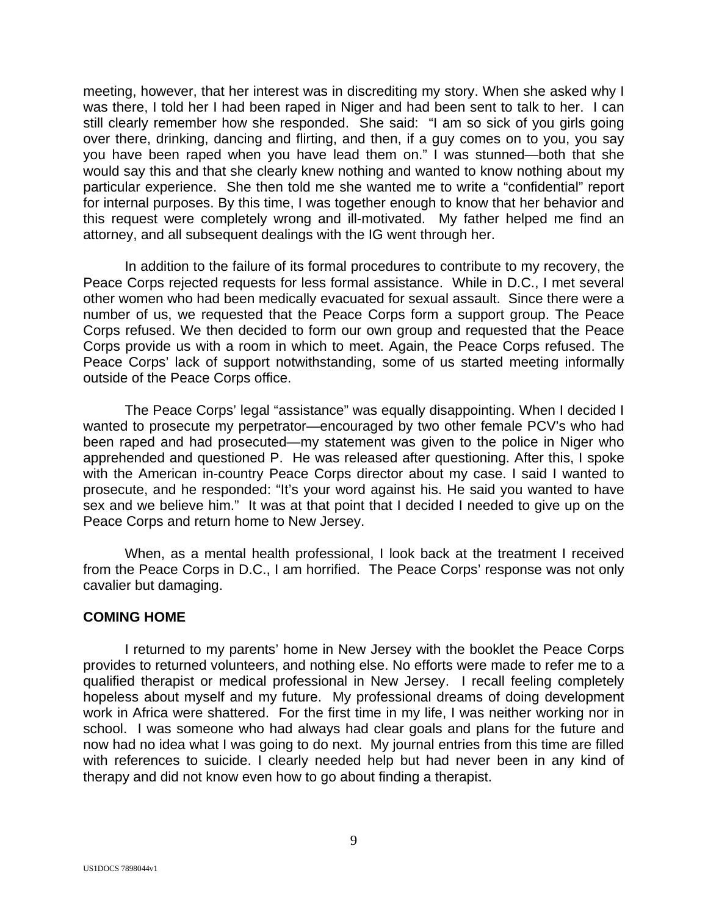meeting, however, that her interest was in discrediting my story. When she asked why I was there, I told her I had been raped in Niger and had been sent to talk to her. I can still clearly remember how she responded. She said: "I am so sick of you girls going over there, drinking, dancing and flirting, and then, if a guy comes on to you, you say you have been raped when you have lead them on." I was stunned—both that she would say this and that she clearly knew nothing and wanted to know nothing about my particular experience. She then told me she wanted me to write a "confidential" report for internal purposes. By this time, I was together enough to know that her behavior and this request were completely wrong and ill-motivated. My father helped me find an attorney, and all subsequent dealings with the IG went through her.

 In addition to the failure of its formal procedures to contribute to my recovery, the Peace Corps rejected requests for less formal assistance. While in D.C., I met several other women who had been medically evacuated for sexual assault. Since there were a number of us, we requested that the Peace Corps form a support group. The Peace Corps refused. We then decided to form our own group and requested that the Peace Corps provide us with a room in which to meet. Again, the Peace Corps refused. The Peace Corps' lack of support notwithstanding, some of us started meeting informally outside of the Peace Corps office.

 The Peace Corps' legal "assistance" was equally disappointing. When I decided I wanted to prosecute my perpetrator—encouraged by two other female PCV's who had been raped and had prosecuted—my statement was given to the police in Niger who apprehended and questioned P. He was released after questioning. After this, I spoke with the American in-country Peace Corps director about my case. I said I wanted to prosecute, and he responded: "It's your word against his. He said you wanted to have sex and we believe him." It was at that point that I decided I needed to give up on the Peace Corps and return home to New Jersey.

 When, as a mental health professional, I look back at the treatment I received from the Peace Corps in D.C., I am horrified. The Peace Corps' response was not only cavalier but damaging.

### **COMING HOME**

 I returned to my parents' home in New Jersey with the booklet the Peace Corps provides to returned volunteers, and nothing else. No efforts were made to refer me to a qualified therapist or medical professional in New Jersey. I recall feeling completely hopeless about myself and my future. My professional dreams of doing development work in Africa were shattered. For the first time in my life, I was neither working nor in school. I was someone who had always had clear goals and plans for the future and now had no idea what I was going to do next. My journal entries from this time are filled with references to suicide. I clearly needed help but had never been in any kind of therapy and did not know even how to go about finding a therapist.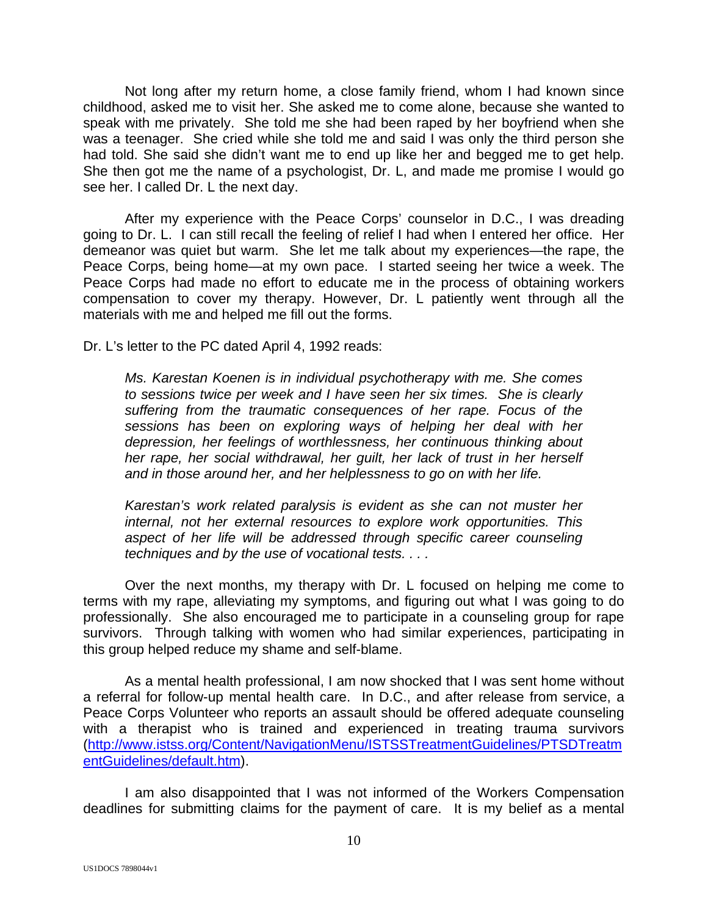Not long after my return home, a close family friend, whom I had known since childhood, asked me to visit her. She asked me to come alone, because she wanted to speak with me privately. She told me she had been raped by her boyfriend when she was a teenager. She cried while she told me and said I was only the third person she had told. She said she didn't want me to end up like her and begged me to get help. She then got me the name of a psychologist, Dr. L, and made me promise I would go see her. I called Dr. L the next day.

 After my experience with the Peace Corps' counselor in D.C., I was dreading going to Dr. L. I can still recall the feeling of relief I had when I entered her office. Her demeanor was quiet but warm. She let me talk about my experiences—the rape, the Peace Corps, being home—at my own pace. I started seeing her twice a week. The Peace Corps had made no effort to educate me in the process of obtaining workers compensation to cover my therapy. However, Dr. L patiently went through all the materials with me and helped me fill out the forms.

Dr. L's letter to the PC dated April 4, 1992 reads:

*Ms. Karestan Koenen is in individual psychotherapy with me. She comes to sessions twice per week and I have seen her six times. She is clearly suffering from the traumatic consequences of her rape. Focus of the sessions has been on exploring ways of helping her deal with her depression, her feelings of worthlessness, her continuous thinking about her rape, her social withdrawal, her guilt, her lack of trust in her herself and in those around her, and her helplessness to go on with her life.* 

*Karestan's work related paralysis is evident as she can not muster her internal, not her external resources to explore work opportunities. This*  aspect of her life will be addressed through specific career counseling *techniques and by the use of vocational tests. . . .*

 Over the next months, my therapy with Dr. L focused on helping me come to terms with my rape, alleviating my symptoms, and figuring out what I was going to do professionally. She also encouraged me to participate in a counseling group for rape survivors. Through talking with women who had similar experiences, participating in this group helped reduce my shame and self-blame.

 As a mental health professional, I am now shocked that I was sent home without a referral for follow-up mental health care. In D.C., and after release from service, a Peace Corps Volunteer who reports an assault should be offered adequate counseling with a therapist who is trained and experienced in treating trauma survivors (http://www.istss.org/Content/NavigationMenu/ISTSSTreatmentGuidelines/PTSDTreatm entGuidelines/default.htm).

 I am also disappointed that I was not informed of the Workers Compensation deadlines for submitting claims for the payment of care. It is my belief as a mental

US1DOCS 7898044v1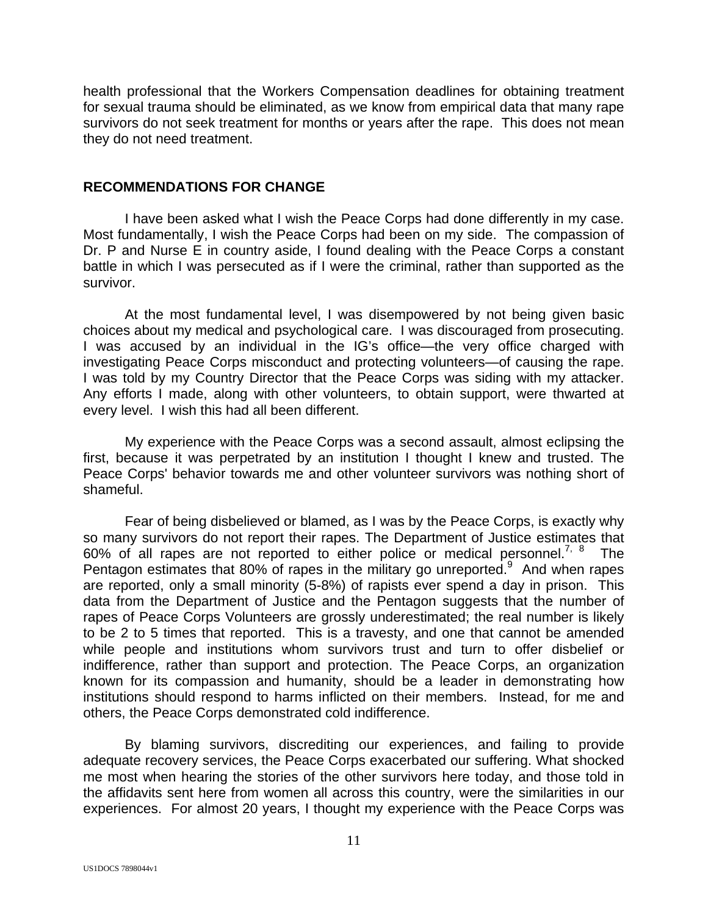health professional that the Workers Compensation deadlines for obtaining treatment for sexual trauma should be eliminated, as we know from empirical data that many rape survivors do not seek treatment for months or years after the rape. This does not mean they do not need treatment.

#### **RECOMMENDATIONS FOR CHANGE**

 I have been asked what I wish the Peace Corps had done differently in my case. Most fundamentally, I wish the Peace Corps had been on my side. The compassion of Dr. P and Nurse E in country aside, I found dealing with the Peace Corps a constant battle in which I was persecuted as if I were the criminal, rather than supported as the survivor.

 At the most fundamental level, I was disempowered by not being given basic choices about my medical and psychological care. I was discouraged from prosecuting. I was accused by an individual in the IG's office—the very office charged with investigating Peace Corps misconduct and protecting volunteers—of causing the rape. I was told by my Country Director that the Peace Corps was siding with my attacker. Any efforts I made, along with other volunteers, to obtain support, were thwarted at every level. I wish this had all been different.

 My experience with the Peace Corps was a second assault, almost eclipsing the first, because it was perpetrated by an institution I thought I knew and trusted. The Peace Corps' behavior towards me and other volunteer survivors was nothing short of shameful.

 Fear of being disbelieved or blamed, as I was by the Peace Corps, is exactly why so many survivors do not report their rapes. The Department of Justice estimates that 60% of all rapes are not reported to either police or medical personnel.<sup>7, 8</sup> The Pentagon estimates that 80% of rapes in the military go unreported. $9$  And when rapes are reported, only a small minority (5-8%) of rapists ever spend a day in prison. This data from the Department of Justice and the Pentagon suggests that the number of rapes of Peace Corps Volunteers are grossly underestimated; the real number is likely to be 2 to 5 times that reported. This is a travesty, and one that cannot be amended while people and institutions whom survivors trust and turn to offer disbelief or indifference, rather than support and protection. The Peace Corps, an organization known for its compassion and humanity, should be a leader in demonstrating how institutions should respond to harms inflicted on their members. Instead, for me and others, the Peace Corps demonstrated cold indifference.

 By blaming survivors, discrediting our experiences, and failing to provide adequate recovery services, the Peace Corps exacerbated our suffering. What shocked me most when hearing the stories of the other survivors here today, and those told in the affidavits sent here from women all across this country, were the similarities in our experiences. For almost 20 years, I thought my experience with the Peace Corps was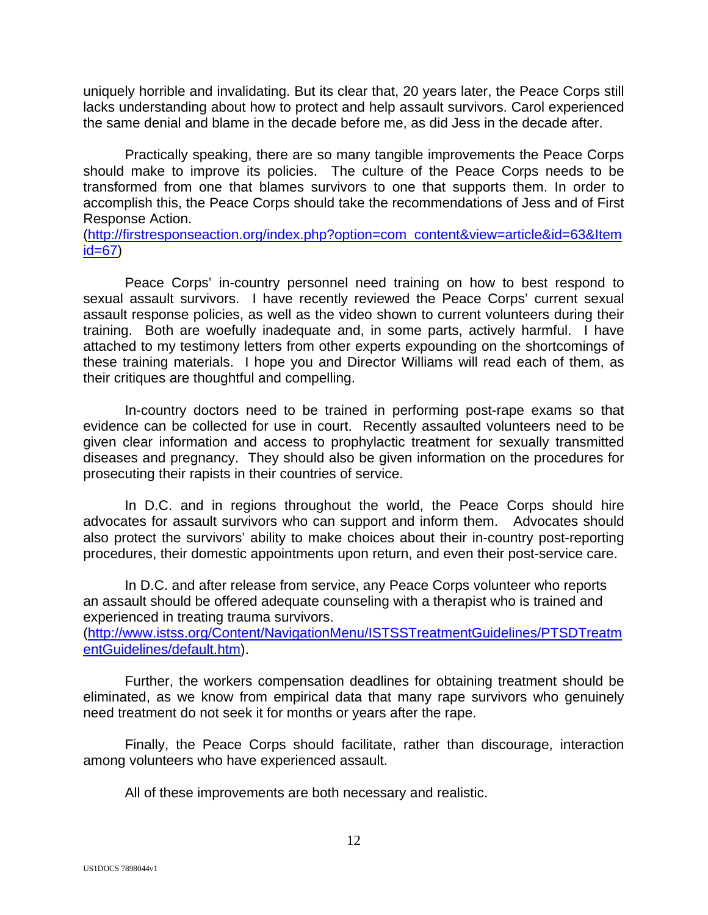uniquely horrible and invalidating. But its clear that, 20 years later, the Peace Corps still lacks understanding about how to protect and help assault survivors. Carol experienced the same denial and blame in the decade before me, as did Jess in the decade after.

 Practically speaking, there are so many tangible improvements the Peace Corps should make to improve its policies. The culture of the Peace Corps needs to be transformed from one that blames survivors to one that supports them. In order to accomplish this, the Peace Corps should take the recommendations of Jess and of First Response Action.

(http://firstresponseaction.org/index.php?option=com\_content&view=article&id=63&Item  $id=67$ )

 Peace Corps' in-country personnel need training on how to best respond to sexual assault survivors. I have recently reviewed the Peace Corps' current sexual assault response policies, as well as the video shown to current volunteers during their training. Both are woefully inadequate and, in some parts, actively harmful. I have attached to my testimony letters from other experts expounding on the shortcomings of these training materials. I hope you and Director Williams will read each of them, as their critiques are thoughtful and compelling.

 In-country doctors need to be trained in performing post-rape exams so that evidence can be collected for use in court. Recently assaulted volunteers need to be given clear information and access to prophylactic treatment for sexually transmitted diseases and pregnancy. They should also be given information on the procedures for prosecuting their rapists in their countries of service.

 In D.C. and in regions throughout the world, the Peace Corps should hire advocates for assault survivors who can support and inform them. Advocates should also protect the survivors' ability to make choices about their in-country post-reporting procedures, their domestic appointments upon return, and even their post-service care.

 In D.C. and after release from service, any Peace Corps volunteer who reports an assault should be offered adequate counseling with a therapist who is trained and experienced in treating trauma survivors.

(http://www.istss.org/Content/NavigationMenu/ISTSSTreatmentGuidelines/PTSDTreatm entGuidelines/default.htm).

 Further, the workers compensation deadlines for obtaining treatment should be eliminated, as we know from empirical data that many rape survivors who genuinely need treatment do not seek it for months or years after the rape.

 Finally, the Peace Corps should facilitate, rather than discourage, interaction among volunteers who have experienced assault.

All of these improvements are both necessary and realistic.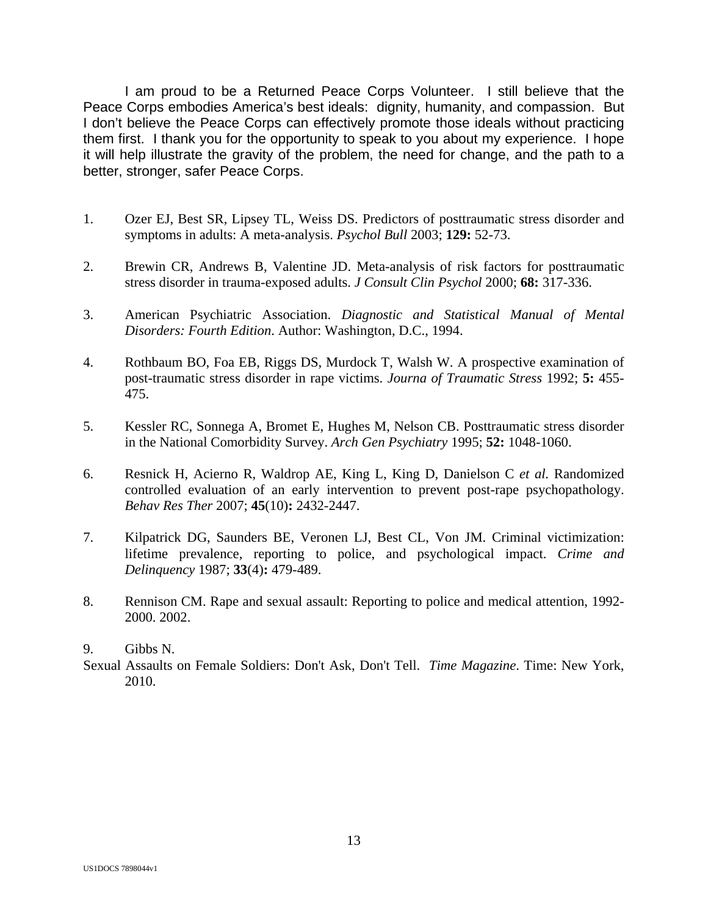I am proud to be a Returned Peace Corps Volunteer. I still believe that the Peace Corps embodies America's best ideals: dignity, humanity, and compassion. But I don't believe the Peace Corps can effectively promote those ideals without practicing them first. I thank you for the opportunity to speak to you about my experience. I hope it will help illustrate the gravity of the problem, the need for change, and the path to a better, stronger, safer Peace Corps.

- 1. Ozer EJ, Best SR, Lipsey TL, Weiss DS. Predictors of posttraumatic stress disorder and symptoms in adults: A meta-analysis. *Psychol Bull* 2003; **129:** 52-73.
- 2. Brewin CR, Andrews B, Valentine JD. Meta-analysis of risk factors for posttraumatic stress disorder in trauma-exposed adults. *J Consult Clin Psychol* 2000; **68:** 317-336.
- 3. American Psychiatric Association. *Diagnostic and Statistical Manual of Mental Disorders: Fourth Edition*. Author: Washington, D.C., 1994.
- 4. Rothbaum BO, Foa EB, Riggs DS, Murdock T, Walsh W. A prospective examination of post-traumatic stress disorder in rape victims. *Journa of Traumatic Stress* 1992; **5:** 455- 475.
- 5. Kessler RC, Sonnega A, Bromet E, Hughes M, Nelson CB. Posttraumatic stress disorder in the National Comorbidity Survey. *Arch Gen Psychiatry* 1995; **52:** 1048-1060.
- 6. Resnick H, Acierno R, Waldrop AE, King L, King D, Danielson C *et al.* Randomized controlled evaluation of an early intervention to prevent post-rape psychopathology. *Behav Res Ther* 2007; **45**(10)**:** 2432-2447.
- 7. Kilpatrick DG, Saunders BE, Veronen LJ, Best CL, Von JM. Criminal victimization: lifetime prevalence, reporting to police, and psychological impact. *Crime and Delinquency* 1987; **33**(4)**:** 479-489.
- 8. Rennison CM. Rape and sexual assault: Reporting to police and medical attention, 1992- 2000. 2002.

#### 9. Gibbs N.

Sexual Assaults on Female Soldiers: Don't Ask, Don't Tell. *Time Magazine*. Time: New York, 2010.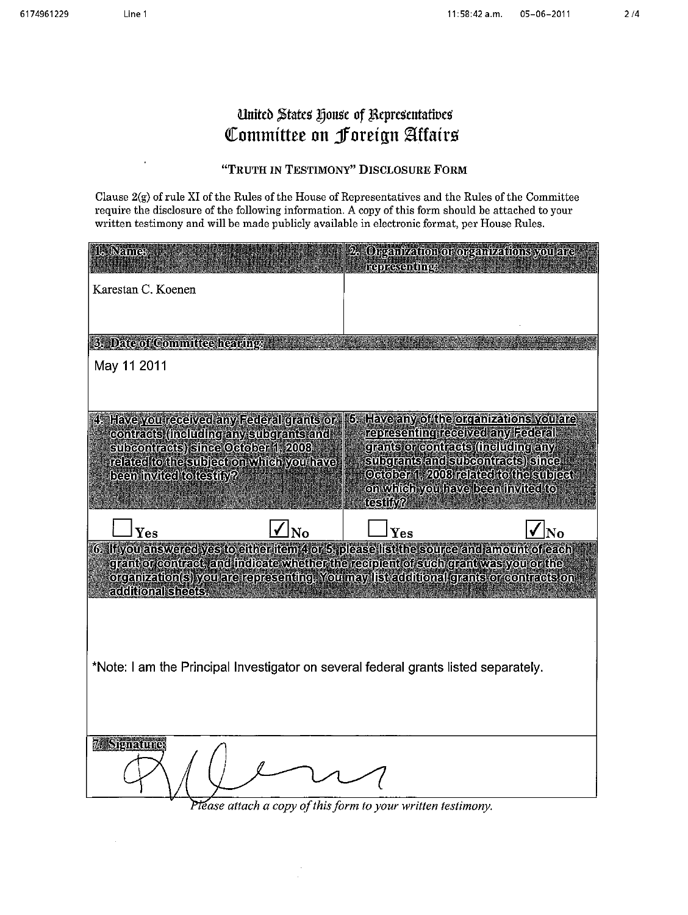$\bar{z}$ 

# United States House of Representatives Committee on Foreign Affairs

# "TRUTH IN TESTIMONY" DISCLOSURE FORM

Clause 2(g) of rule XI of the Rules of the House of Representatives and the Rules of the Committee require the disclosure of the following information. A copy of this form should be attached to your written testimony and will be made publicly available in electronic format, per House Rules.

| 1. Name:                                                                                                                                                                   |              | Organization or organizations you are<br><b>representings</b>                                                     |    |
|----------------------------------------------------------------------------------------------------------------------------------------------------------------------------|--------------|-------------------------------------------------------------------------------------------------------------------|----|
| Karestan C. Koenen                                                                                                                                                         |              |                                                                                                                   |    |
|                                                                                                                                                                            |              |                                                                                                                   |    |
| 3. Date of Committee hearing                                                                                                                                               |              |                                                                                                                   |    |
| May 11 2011                                                                                                                                                                |              |                                                                                                                   |    |
|                                                                                                                                                                            |              |                                                                                                                   |    |
| 4. Have you received any Federal grants or<br>contracts (including any subgrants and                                                                                       |              | 5. Have any of the organizations you are<br>representing received any Federal                                     |    |
| subcontracts) since October 1, 2008<br>related to the subject on which you have                                                                                            |              | grants or contracts (including any<br>subqrants and subcontracts) since<br>October 1, 2008 related to the subject |    |
| been invited to testily?                                                                                                                                                   |              | on which you have been invited to<br>testify?                                                                     |    |
| Yes                                                                                                                                                                        | $ _{\rm No}$ | Yes                                                                                                               | No |
| 6. If you answered yes to either item 4 or 5, please list the source and amount of each                                                                                    |              |                                                                                                                   |    |
| grant or contract, and indicate whether the recipient of such grant was you or the<br>organization(s) you are representing, You may list additional grants or contracts on |              |                                                                                                                   |    |
| additional sheets.                                                                                                                                                         |              |                                                                                                                   |    |
|                                                                                                                                                                            |              |                                                                                                                   |    |
| *Note: I am the Principal Investigator on several federal grants listed separately.                                                                                        |              |                                                                                                                   |    |
|                                                                                                                                                                            |              |                                                                                                                   |    |
|                                                                                                                                                                            |              |                                                                                                                   |    |
| <b>7. Signature:</b>                                                                                                                                                       |              |                                                                                                                   |    |
|                                                                                                                                                                            |              |                                                                                                                   |    |
|                                                                                                                                                                            |              |                                                                                                                   |    |

Please attach a copy of this form to your written testimony.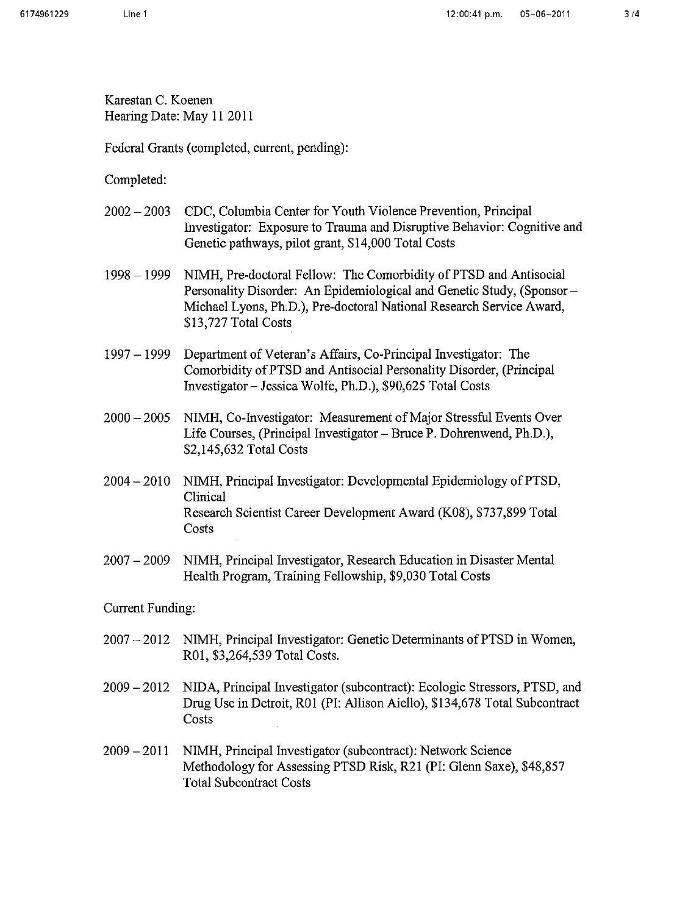Karestan C. Koenen Hearing Date: May 11 2011

Federal Grants (completed, current, pending):

Completed:

- $2002 2003$ CDC, Columbia Center for Youth Violence Prevention, Principal Investigator: Exposure to Trauma and Disruptive Behavior: Cognitive and Genetic pathways, pilot grant, \$14,000 Total Costs
- $1998 1999$ NIMH, Pre-doctoral Fellow: The Comorbidity of PTSD and Antisocial Personality Disorder: An Epidemiological and Genetic Study, (Sponsor – Michael Lyons, Ph.D.), Pre-doctoral National Research Service Award, \$13,727 Total Costs
- $1997 1999$ Department of Veteran's Affairs, Co-Principal Investigator: The Comorbidity of PTSD and Antisocial Personality Disorder, (Principal Investigator - Jessica Wolfe, Ph.D.), \$90,625 Total Costs
- NIMH, Co-Investigator: Measurement of Major Stressful Events Over  $2000 - 2005$ Life Courses, (Principal Investigator – Bruce P. Dohrenwend, Ph.D.), \$2,145,632 Total Costs
- NIMH, Principal Investigator: Developmental Epidemiology of PTSD,  $2004 - 2010$ Clinical Research Scientist Career Development Award (K08), \$737,899 Total Costs
- NIMH, Principal Investigator, Research Education in Disaster Mental  $2007 - 2009$ Health Program, Training Fellowship, \$9,030 Total Costs

**Current Funding:** 

- 2007 2012 NIMH, Principal Investigator: Genetic Determinants of PTSD in Women, R01, \$3,264,539 Total Costs.
- 2009 2012 NIDA, Principal Investigator (subcontract): Ecologic Stressors, PTSD, and Drug Use in Detroit, R01 (PI: Allison Aiello), \$134,678 Total Subcontract Costs
- NIMH, Principal Investigator (subcontract): Network Science  $2009 - 2011$ Methodology for Assessing PTSD Risk, R21 (PI: Glenn Saxe), \$48,857 **Total Subcontract Costs**